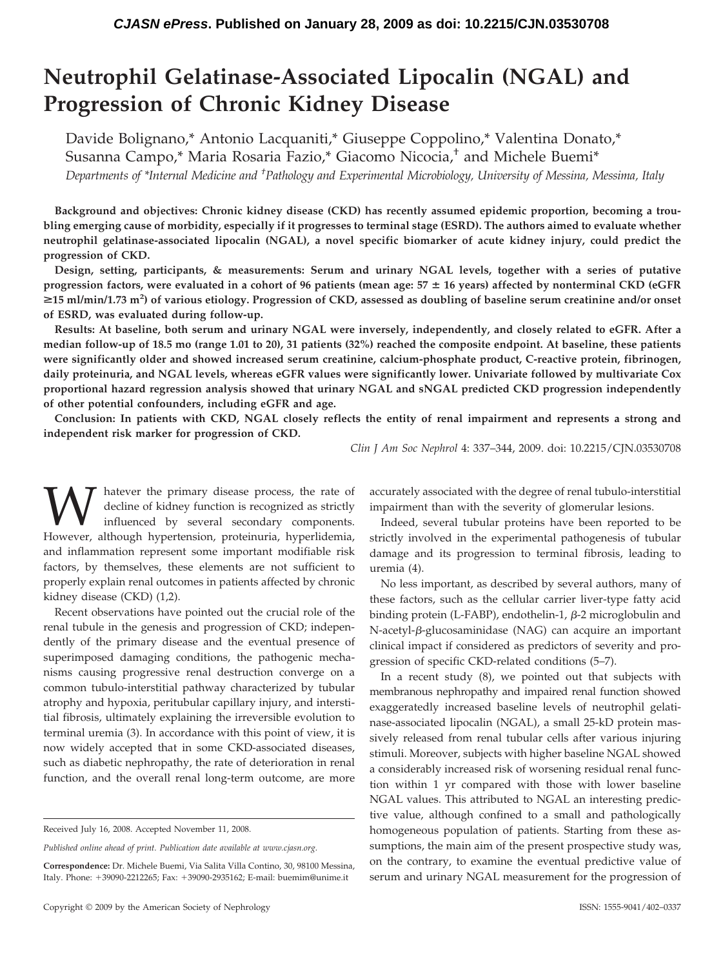# **Neutrophil Gelatinase-Associated Lipocalin (NGAL) and Progression of Chronic Kidney Disease**

Davide Bolignano,\* Antonio Lacquaniti,\* Giuseppe Coppolino,\* Valentina Donato,\* Susanna Campo,\* Maria Rosaria Fazio,\* Giacomo Nicocia,† and Michele Buemi\*

*Departments of \*Internal Medicine and † Pathology and Experimental Microbiology, University of Messina, Messima, Italy*

**Background and objectives: Chronic kidney disease (CKD) has recently assumed epidemic proportion, becoming a troubling emerging cause of morbidity, especially if it progresses to terminal stage (ESRD). The authors aimed to evaluate whether neutrophil gelatinase-associated lipocalin (NGAL), a novel specific biomarker of acute kidney injury, could predict the progression of CKD.**

**Design, setting, participants, & measurements: Serum and urinary NGAL levels, together with a series of putative progression factors, were evaluated in a cohort of 96 patients (mean age: 57 16 years) affected by nonterminal CKD (eGFR** >**15 ml/min/1.73 m2 ) of various etiology. Progression of CKD, assessed as doubling of baseline serum creatinine and/or onset of ESRD, was evaluated during follow-up.**

**Results: At baseline, both serum and urinary NGAL were inversely, independently, and closely related to eGFR. After a median follow-up of 18.5 mo (range 1.01 to 20), 31 patients (32%) reached the composite endpoint. At baseline, these patients were significantly older and showed increased serum creatinine, calcium-phosphate product, C-reactive protein, fibrinogen, daily proteinuria, and NGAL levels, whereas eGFR values were significantly lower. Univariate followed by multivariate Cox proportional hazard regression analysis showed that urinary NGAL and sNGAL predicted CKD progression independently of other potential confounders, including eGFR and age.**

**Conclusion: In patients with CKD, NGAL closely reflects the entity of renal impairment and represents a strong and independent risk marker for progression of CKD.**

*Clin J Am Soc Nephrol* 4: 337–344, 2009. doi: 10.2215/CJN.03530708

**W** hatever the primary disease process, the rate of decline of kidney function is recognized as strictly influenced by several secondary components. However, although hypertension, proteinuria, hyperlidemia, decline of kidney function is recognized as strictly influenced by several secondary components. and inflammation represent some important modifiable risk factors, by themselves, these elements are not sufficient to properly explain renal outcomes in patients affected by chronic kidney disease (CKD) (1,2).

Recent observations have pointed out the crucial role of the renal tubule in the genesis and progression of CKD; independently of the primary disease and the eventual presence of superimposed damaging conditions, the pathogenic mechanisms causing progressive renal destruction converge on a common tubulo-interstitial pathway characterized by tubular atrophy and hypoxia, peritubular capillary injury, and interstitial fibrosis, ultimately explaining the irreversible evolution to terminal uremia (3). In accordance with this point of view, it is now widely accepted that in some CKD-associated diseases, such as diabetic nephropathy, the rate of deterioration in renal function, and the overall renal long-term outcome, are more accurately associated with the degree of renal tubulo-interstitial impairment than with the severity of glomerular lesions.

Indeed, several tubular proteins have been reported to be strictly involved in the experimental pathogenesis of tubular damage and its progression to terminal fibrosis, leading to uremia (4).

No less important, as described by several authors, many of these factors, such as the cellular carrier liver-type fatty acid binding protein (L-FABP), endothelin-1,  $\beta$ -2 microglobulin and  $N$ -acetyl- $\beta$ -glucosaminidase (NAG) can acquire an important clinical impact if considered as predictors of severity and progression of specific CKD-related conditions (5–7).

In a recent study (8), we pointed out that subjects with membranous nephropathy and impaired renal function showed exaggeratedly increased baseline levels of neutrophil gelatinase-associated lipocalin (NGAL), a small 25-kD protein massively released from renal tubular cells after various injuring stimuli. Moreover, subjects with higher baseline NGAL showed a considerably increased risk of worsening residual renal function within 1 yr compared with those with lower baseline NGAL values. This attributed to NGAL an interesting predictive value, although confined to a small and pathologically homogeneous population of patients. Starting from these assumptions, the main aim of the present prospective study was, on the contrary, to examine the eventual predictive value of serum and urinary NGAL measurement for the progression of

Received July 16, 2008. Accepted November 11, 2008.

*Published online ahead of print. Publication date available at www.cjasn.org.*

**Correspondence:** Dr. Michele Buemi, Via Salita Villa Contino, 30, 98100 Messina, Italy. Phone: +39090-2212265; Fax: +39090-2935162; E-mail: buemim@unime.it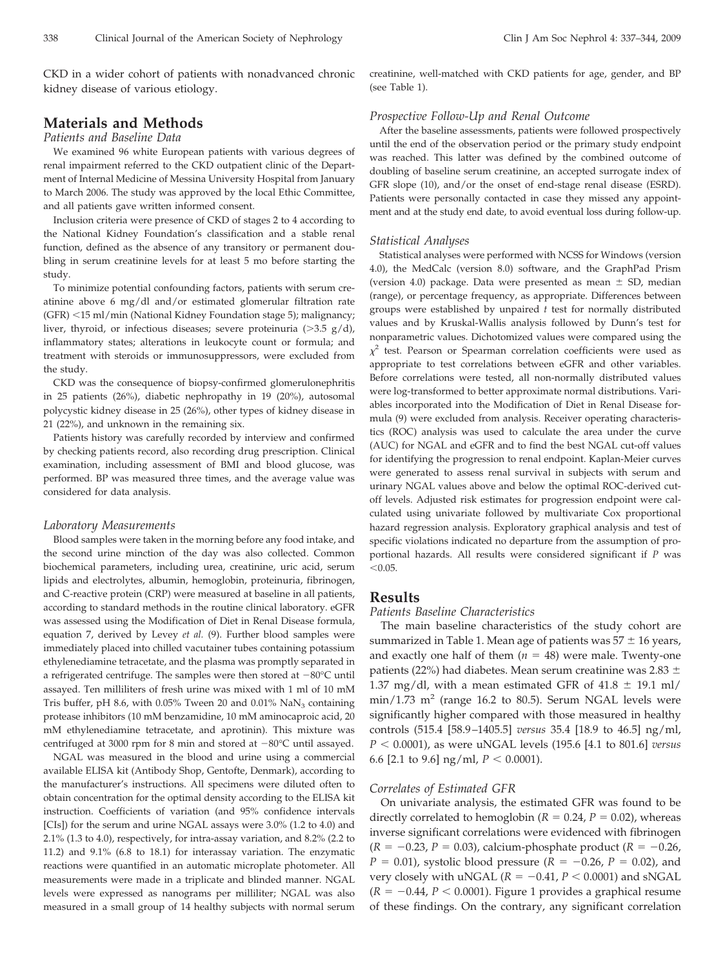CKD in a wider cohort of patients with nonadvanced chronic kidney disease of various etiology.

# **Materials and Methods**

#### *Patients and Baseline Data*

We examined 96 white European patients with various degrees of renal impairment referred to the CKD outpatient clinic of the Department of Internal Medicine of Messina University Hospital from January to March 2006. The study was approved by the local Ethic Committee, and all patients gave written informed consent.

Inclusion criteria were presence of CKD of stages 2 to 4 according to the National Kidney Foundation's classification and a stable renal function, defined as the absence of any transitory or permanent doubling in serum creatinine levels for at least 5 mo before starting the study.

To minimize potential confounding factors, patients with serum creatinine above 6 mg/dl and/or estimated glomerular filtration rate (GFR) -15 ml/min (National Kidney Foundation stage 5); malignancy; liver, thyroid, or infectious diseases; severe proteinuria  $(>3.5 \text{ g}/d)$ , inflammatory states; alterations in leukocyte count or formula; and treatment with steroids or immunosuppressors, were excluded from the study.

CKD was the consequence of biopsy-confirmed glomerulonephritis in 25 patients (26%), diabetic nephropathy in 19 (20%), autosomal polycystic kidney disease in 25 (26%), other types of kidney disease in 21 (22%), and unknown in the remaining six.

Patients history was carefully recorded by interview and confirmed by checking patients record, also recording drug prescription. Clinical examination, including assessment of BMI and blood glucose, was performed. BP was measured three times, and the average value was considered for data analysis.

#### *Laboratory Measurements*

Blood samples were taken in the morning before any food intake, and the second urine minction of the day was also collected. Common biochemical parameters, including urea, creatinine, uric acid, serum lipids and electrolytes, albumin, hemoglobin, proteinuria, fibrinogen, and C-reactive protein (CRP) were measured at baseline in all patients, according to standard methods in the routine clinical laboratory. eGFR was assessed using the Modification of Diet in Renal Disease formula, equation 7, derived by Levey *et al.* (9). Further blood samples were immediately placed into chilled vacutainer tubes containing potassium ethylenediamine tetracetate, and the plasma was promptly separated in a refrigerated centrifuge. The samples were then stored at  $-80^{\circ}$ C until assayed. Ten milliliters of fresh urine was mixed with 1 ml of 10 mM Tris buffer, pH 8.6, with  $0.05\%$  Tween 20 and  $0.01\%$  NaN<sub>3</sub> containing protease inhibitors (10 mM benzamidine, 10 mM aminocaproic acid, 20 mM ethylenediamine tetracetate, and aprotinin). This mixture was centrifuged at 3000 rpm for 8 min and stored at  $-80^{\circ}$ C until assayed.

NGAL was measured in the blood and urine using a commercial available ELISA kit (Antibody Shop, Gentofte, Denmark), according to the manufacturer's instructions. All specimens were diluted often to obtain concentration for the optimal density according to the ELISA kit instruction. Coefficients of variation (and 95% confidence intervals [CIs]) for the serum and urine NGAL assays were 3.0% (1.2 to 4.0) and 2.1% (1.3 to 4.0), respectively, for intra-assay variation, and 8.2% (2.2 to 11.2) and 9.1% (6.8 to 18.1) for interassay variation. The enzymatic reactions were quantified in an automatic microplate photometer. All measurements were made in a triplicate and blinded manner. NGAL levels were expressed as nanograms per milliliter; NGAL was also measured in a small group of 14 healthy subjects with normal serum creatinine, well-matched with CKD patients for age, gender, and BP (see Table 1).

## *Prospective Follow-Up and Renal Outcome*

After the baseline assessments, patients were followed prospectively until the end of the observation period or the primary study endpoint was reached. This latter was defined by the combined outcome of doubling of baseline serum creatinine, an accepted surrogate index of GFR slope (10), and/or the onset of end-stage renal disease (ESRD). Patients were personally contacted in case they missed any appointment and at the study end date, to avoid eventual loss during follow-up.

#### *Statistical Analyses*

Statistical analyses were performed with NCSS for Windows (version 4.0), the MedCalc (version 8.0) software, and the GraphPad Prism (version 4.0) package. Data were presented as mean  $\pm$  SD, median (range), or percentage frequency, as appropriate. Differences between groups were established by unpaired *t* test for normally distributed values and by Kruskal-Wallis analysis followed by Dunn's test for nonparametric values. Dichotomized values were compared using the  $\chi^2$  test. Pearson or Spearman correlation coefficients were used as appropriate to test correlations between eGFR and other variables. Before correlations were tested, all non-normally distributed values were log-transformed to better approximate normal distributions. Variables incorporated into the Modification of Diet in Renal Disease formula (9) were excluded from analysis. Receiver operating characteristics (ROC) analysis was used to calculate the area under the curve (AUC) for NGAL and eGFR and to find the best NGAL cut-off values for identifying the progression to renal endpoint. Kaplan-Meier curves were generated to assess renal survival in subjects with serum and urinary NGAL values above and below the optimal ROC-derived cutoff levels. Adjusted risk estimates for progression endpoint were calculated using univariate followed by multivariate Cox proportional hazard regression analysis. Exploratory graphical analysis and test of specific violations indicated no departure from the assumption of proportional hazards. All results were considered significant if *P* was  $< 0.05$ .

## **Results**

## *Patients Baseline Characteristics*

The main baseline characteristics of the study cohort are summarized in Table 1. Mean age of patients was  $57 \pm 16$  years, and exactly one half of them  $(n = 48)$  were male. Twenty-one patients (22%) had diabetes. Mean serum creatinine was 2.83  $\pm$ 1.37 mg/dl, with a mean estimated GFR of  $41.8 \pm 19.1$  ml/  $min/1.73$   $m^2$  (range 16.2 to 80.5). Serum NGAL levels were significantly higher compared with those measured in healthy controls (515.4 [58.9 –1405.5] *versus* 35.4 [18.9 to 46.5] ng/ml, *P* - 0.0001), as were uNGAL levels (195.6 [4.1 to 801.6] *versus* 6.6 [2.1 to 9.6]  $\text{ng/ml}, P < 0.0001$ ).

### *Correlates of Estimated GFR*

On univariate analysis, the estimated GFR was found to be directly correlated to hemoglobin ( $R = 0.24$ ,  $P = 0.02$ ), whereas inverse significant correlations were evidenced with fibrinogen  $(R = -0.23, P = 0.03)$ , calcium-phosphate product  $(R = -0.26, P = 0.03)$  $P = 0.01$ , systolic blood pressure ( $R = -0.26$ ,  $P = 0.02$ ), and very closely with uNGAL  $(R = -0.41, P < 0.0001)$  and sNGAL  $(R = -0.44, P < 0.0001)$ . Figure 1 provides a graphical resume of these findings. On the contrary, any significant correlation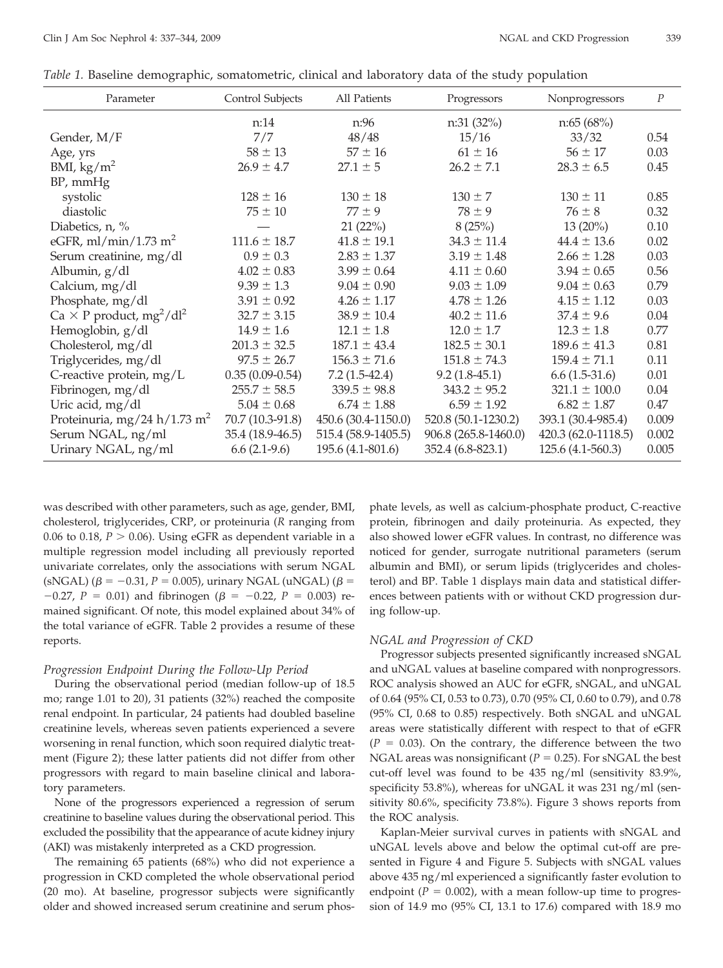| Table 1. Baseline demographic, somatometric, clinical and laboratory data of the study population |  |  |  |  |  |  |  |  |  |
|---------------------------------------------------------------------------------------------------|--|--|--|--|--|--|--|--|--|
|---------------------------------------------------------------------------------------------------|--|--|--|--|--|--|--|--|--|

| Parameter                                               | Control Subjects    | All Patients        | Progressors          | Nonprogressors      | $\overline{P}$ |
|---------------------------------------------------------|---------------------|---------------------|----------------------|---------------------|----------------|
|                                                         | n:14                | n:96                | n:31(32%)            | n:65(68%)           |                |
| Gender, M/F                                             | 7/7                 | 48/48               | 15/16                | 33/32               | 0.54           |
| Age, yrs                                                | $58 \pm 13$         | $57 \pm 16$         | $61 \pm 16$          | $56 \pm 17$         | 0.03           |
| BMI, $\text{kg/m}^2$                                    | $26.9 \pm 4.7$      | $27.1 \pm 5$        | $26.2 \pm 7.1$       | $28.3 \pm 6.5$      | 0.45           |
| $BP$ , mm $Hg$                                          |                     |                     |                      |                     |                |
| systolic                                                | $128 \pm 16$        | $130 \pm 18$        | $130 \pm 7$          | $130 \pm 11$        | 0.85           |
| diastolic                                               | $75 \pm 10$         | $77 \pm 9$          | $78 \pm 9$           | $76 \pm 8$          | 0.32           |
| Diabetics, n, %                                         |                     | 21(22%)             | 8(25%)               | $13(20\%)$          | 0.10           |
| eGFR, ml/min/1.73 m <sup>2</sup>                        | $111.6 \pm 18.7$    | $41.8 \pm 19.1$     | $34.3 \pm 11.4$      | $44.4 \pm 13.6$     | 0.02           |
| Serum creatinine, mg/dl                                 | $0.9 \pm 0.3$       | $2.83 \pm 1.37$     | $3.19 \pm 1.48$      | $2.66 \pm 1.28$     | 0.03           |
| Albumin, g/dl                                           | $4.02 \pm 0.83$     | $3.99 \pm 0.64$     | $4.11 \pm 0.60$      | $3.94 \pm 0.65$     | 0.56           |
| Calcium, mg/dl                                          | $9.39 \pm 1.3$      | $9.04 \pm 0.90$     | $9.03 \pm 1.09$      | $9.04 \pm 0.63$     | 0.79           |
| Phosphate, mg/dl                                        | $3.91 \pm 0.92$     | $4.26 \pm 1.17$     | $4.78 \pm 1.26$      | $4.15 \pm 1.12$     | 0.03           |
| Ca $\times$ P product, mg <sup>2</sup> /dl <sup>2</sup> | $32.7 \pm 3.15$     | $38.9 \pm 10.4$     | $40.2 \pm 11.6$      | $37.4 \pm 9.6$      | 0.04           |
| Hemoglobin, g/dl                                        | $14.9 \pm 1.6$      | $12.1 \pm 1.8$      | $12.0 \pm 1.7$       | $12.3 \pm 1.8$      | 0.77           |
| Cholesterol, mg/dl                                      | $201.3 \pm 32.5$    | $187.1 \pm 43.4$    | $182.5 \pm 30.1$     | $189.6 \pm 41.3$    | 0.81           |
| Triglycerides, mg/dl                                    | $97.5 \pm 26.7$     | $156.3 \pm 71.6$    | $151.8 \pm 74.3$     | $159.4 \pm 71.1$    | 0.11           |
| C-reactive protein, mg/L                                | $0.35(0.09 - 0.54)$ | $7.2(1.5-42.4)$     | $9.2(1.8-45.1)$      | $6.6(1.5-31.6)$     | 0.01           |
| Fibrinogen, mg/dl                                       | $255.7 \pm 58.5$    | $339.5 \pm 98.8$    | $343.2 \pm 95.2$     | $321.1 \pm 100.0$   | 0.04           |
| Uric acid, mg/dl                                        | $5.04 \pm 0.68$     | $6.74 \pm 1.88$     | $6.59 \pm 1.92$      | $6.82 \pm 1.87$     | 0.47           |
| Proteinuria, mg/24 h/1.73 m <sup>2</sup>                | 70.7 (10.3-91.8)    | 450.6 (30.4-1150.0) | 520.8 (50.1-1230.2)  | 393.1 (30.4-985.4)  | 0.009          |
| Serum NGAL, ng/ml<br>35.4 (18.9-46.5)                   |                     | 515.4 (58.9-1405.5) | 906.8 (265.8-1460.0) | 420.3 (62.0-1118.5) | 0.002          |
| Urinary NGAL, ng/ml                                     | $6.6(2.1-9.6)$      | 195.6 (4.1-801.6)   | 352.4 (6.8-823.1)    | 125.6 (4.1-560.3)   | 0.005          |

was described with other parameters, such as age, gender, BMI, cholesterol, triglycerides, CRP, or proteinuria (*R* ranging from 0.06 to 0.18,  $P > 0.06$ ). Using eGFR as dependent variable in a multiple regression model including all previously reported univariate correlates, only the associations with serum NGAL (sNGAL)  $(\beta = -0.31, P = 0.005)$ , urinary NGAL (uNGAL)  $(\beta =$  $-0.27$ ,  $P = 0.01$ ) and fibrinogen ( $\beta = -0.22$ ,  $P = 0.003$ ) remained significant. Of note, this model explained about 34% of the total variance of eGFR. Table 2 provides a resume of these reports.

#### *Progression Endpoint During the Follow-Up Period*

During the observational period (median follow-up of 18.5 mo; range 1.01 to 20), 31 patients (32%) reached the composite renal endpoint. In particular, 24 patients had doubled baseline creatinine levels, whereas seven patients experienced a severe worsening in renal function, which soon required dialytic treatment (Figure 2); these latter patients did not differ from other progressors with regard to main baseline clinical and laboratory parameters.

None of the progressors experienced a regression of serum creatinine to baseline values during the observational period. This excluded the possibility that the appearance of acute kidney injury (AKI) was mistakenly interpreted as a CKD progression.

The remaining 65 patients (68%) who did not experience a progression in CKD completed the whole observational period (20 mo). At baseline, progressor subjects were significantly older and showed increased serum creatinine and serum phosphate levels, as well as calcium-phosphate product, C-reactive protein, fibrinogen and daily proteinuria. As expected, they also showed lower eGFR values. In contrast, no difference was noticed for gender, surrogate nutritional parameters (serum albumin and BMI), or serum lipids (triglycerides and cholesterol) and BP. Table 1 displays main data and statistical differences between patients with or without CKD progression during follow-up.

#### *NGAL and Progression of CKD*

Progressor subjects presented significantly increased sNGAL and uNGAL values at baseline compared with nonprogressors. ROC analysis showed an AUC for eGFR, sNGAL, and uNGAL of 0.64 (95% CI, 0.53 to 0.73), 0.70 (95% CI, 0.60 to 0.79), and 0.78 (95% CI, 0.68 to 0.85) respectively. Both sNGAL and uNGAL areas were statistically different with respect to that of eGFR  $(P = 0.03)$ . On the contrary, the difference between the two NGAL areas was nonsignificant ( $P = 0.25$ ). For sNGAL the best cut-off level was found to be 435 ng/ml (sensitivity 83.9%, specificity 53.8%), whereas for uNGAL it was 231 ng/ml (sensitivity 80.6%, specificity 73.8%). Figure 3 shows reports from the ROC analysis.

Kaplan-Meier survival curves in patients with sNGAL and uNGAL levels above and below the optimal cut-off are presented in Figure 4 and Figure 5. Subjects with sNGAL values above 435 ng/ml experienced a significantly faster evolution to endpoint  $(P = 0.002)$ , with a mean follow-up time to progression of 14.9 mo (95% CI, 13.1 to 17.6) compared with 18.9 mo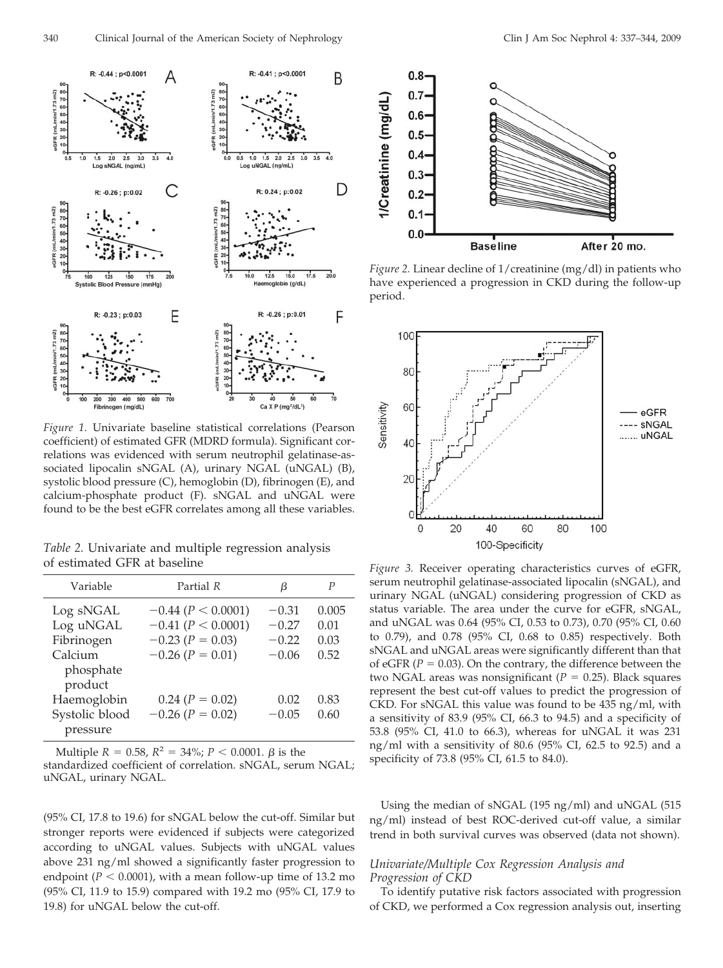

*Figure 1.* Univariate baseline statistical correlations (Pearson coefficient) of estimated GFR (MDRD formula). Significant correlations was evidenced with serum neutrophil gelatinase-associated lipocalin sNGAL (A), urinary NGAL (uNGAL) (B), systolic blood pressure (C), hemoglobin (D), fibrinogen (E), and calcium-phosphate product (F). sNGAL and uNGAL were found to be the best eGFR correlates among all these variables.

*Table 2.* Univariate and multiple regression analysis of estimated GFR at baseline

| Variable                        | Partial R                                        | β                  | P             |
|---------------------------------|--------------------------------------------------|--------------------|---------------|
| Log sNGAL<br>Log uNGAL          | $-0.44$ ( $P < 0.0001$ )<br>$-0.41 (P < 0.0001)$ | $-0.31$<br>$-0.27$ | 0.005<br>0.01 |
| Fibrinogen                      | $-0.23$ ( $P = 0.03$ )                           | $-0.22$            | 0.03          |
| Calcium<br>phosphate<br>product | $-0.26$ ( $P = 0.01$ )                           | $-0.06$            | 0.52          |
| Haemoglobin                     | $0.24 (P = 0.02)$                                | 0.02               | 0.83          |
| Systolic blood<br>pressure      | $-0.26$ ( $P = 0.02$ )                           | $-0.05$            | 0.60          |

Multiple  $R = 0.58$ ,  $R^2 = 34\%$ ;  $P < 0.0001$ .  $\beta$  is the

standardized coefficient of correlation. sNGAL, serum NGAL; uNGAL, urinary NGAL.

(95% CI, 17.8 to 19.6) for sNGAL below the cut-off. Similar but stronger reports were evidenced if subjects were categorized according to uNGAL values. Subjects with uNGAL values above 231 ng/ml showed a significantly faster progression to endpoint ( $P < 0.0001$ ), with a mean follow-up time of 13.2 mo (95% CI, 11.9 to 15.9) compared with 19.2 mo (95% CI, 17.9 to 19.8) for uNGAL below the cut-off.



*Figure 2.* Linear decline of 1/creatinine (mg/dl) in patients who have experienced a progression in CKD during the follow-up period.



*Figure 3.* Receiver operating characteristics curves of eGFR, serum neutrophil gelatinase-associated lipocalin (sNGAL), and urinary NGAL (uNGAL) considering progression of CKD as status variable. The area under the curve for eGFR, sNGAL, and uNGAL was 0.64 (95% CI, 0.53 to 0.73), 0.70 (95% CI, 0.60 to 0.79), and 0.78 (95% CI, 0.68 to 0.85) respectively. Both sNGAL and uNGAL areas were significantly different than that of eGFR ( $P = 0.03$ ). On the contrary, the difference between the two NGAL areas was nonsignificant ( $P = 0.25$ ). Black squares represent the best cut-off values to predict the progression of CKD. For sNGAL this value was found to be 435 ng/ml, with a sensitivity of 83.9 (95% CI, 66.3 to 94.5) and a specificity of 53.8 (95% CI, 41.0 to 66.3), whereas for uNGAL it was 231 ng/ml with a sensitivity of 80.6 (95% CI, 62.5 to 92.5) and a specificity of 73.8 (95% CI, 61.5 to 84.0).

Using the median of sNGAL (195 ng/ml) and uNGAL (515 ng/ml) instead of best ROC-derived cut-off value, a similar trend in both survival curves was observed (data not shown).

# *Univariate/Multiple Cox Regression Analysis and Progression of CKD*

To identify putative risk factors associated with progression of CKD, we performed a Cox regression analysis out, inserting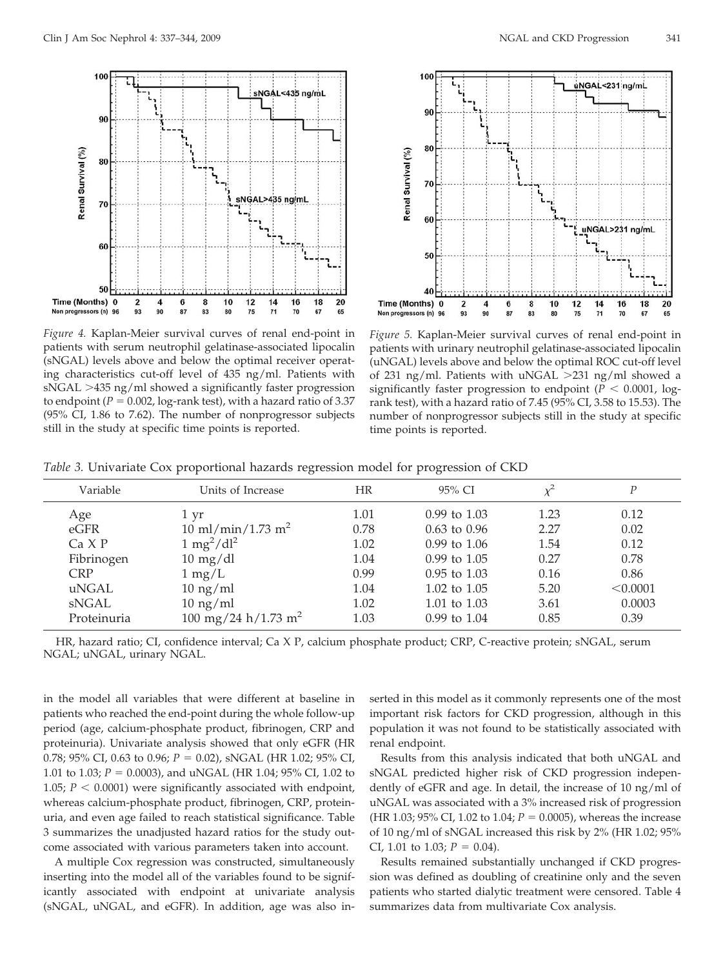

*Figure 4.* Kaplan-Meier survival curves of renal end-point in patients with serum neutrophil gelatinase-associated lipocalin (sNGAL) levels above and below the optimal receiver operating characteristics cut-off level of 435 ng/ml. Patients with sNGAL >435 ng/ml showed a significantly faster progression to endpoint ( $P = 0.002$ , log-rank test), with a hazard ratio of 3.37 (95% CI, 1.86 to 7.62). The number of nonprogressor subjects still in the study at specific time points is reported.



*Figure 5.* Kaplan-Meier survival curves of renal end-point in patients with urinary neutrophil gelatinase-associated lipocalin (uNGAL) levels above and below the optimal ROC cut-off level of 231 ng/ml. Patients with uNGAL  $>$ 231 ng/ml showed a significantly faster progression to endpoint  $(P < 0.0001,$  logrank test), with a hazard ratio of 7.45 (95% CI, 3.58 to 15.53). The number of nonprogressor subjects still in the study at specific time points is reported.

| <i>Table 3.</i> Univariate Cox proportional hazards regression model for progression of CKD |  |  |  |  |
|---------------------------------------------------------------------------------------------|--|--|--|--|
|                                                                                             |  |  |  |  |
|                                                                                             |  |  |  |  |

| Variable    | Units of Increase                    | HR   | 95% CI           |      | Ρ        |
|-------------|--------------------------------------|------|------------------|------|----------|
| Age         | 1 yr                                 | 1.01 | $0.99$ to $1.03$ | 1.23 | 0.12     |
| eGFR        | $10 \text{ ml/min}/1.73 \text{ m}^2$ | 0.78 | $0.63$ to $0.96$ | 2.27 | 0.02     |
| Ca X P      | $1 \text{ mg}^2/\text{dl}^2$         | 1.02 | $0.99$ to $1.06$ | 1.54 | 0.12     |
| Fibrinogen  | $10 \text{ mg/dl}$                   | 1.04 | $0.99$ to $1.05$ | 0.27 | 0.78     |
| <b>CRP</b>  | $1 \text{ mg/L}$                     | 0.99 | $0.95$ to $1.03$ | 0.16 | 0.86     |
| uNGAL       | $10 \text{ ng/ml}$                   | 1.04 | 1.02 to $1.05$   | 5.20 | < 0.0001 |
| sNGAL       | $10 \text{ ng/ml}$                   | 1.02 | 1.01 to 1.03     | 3.61 | 0.0003   |
| Proteinuria | 100 mg/24 h/1.73 m <sup>2</sup>      | 1.03 | $0.99$ to $1.04$ | 0.85 | 0.39     |

HR, hazard ratio; CI, confidence interval; Ca X P, calcium phosphate product; CRP, C-reactive protein; sNGAL, serum NGAL; uNGAL, urinary NGAL.

in the model all variables that were different at baseline in patients who reached the end-point during the whole follow-up period (age, calcium-phosphate product, fibrinogen, CRP and proteinuria). Univariate analysis showed that only eGFR (HR 0.78; 95% CI, 0.63 to 0.96;  $P = 0.02$ ), sNGAL (HR 1.02; 95% CI, 1.01 to 1.03;  $P = 0.0003$ ), and uNGAL (HR 1.04; 95% CI, 1.02 to 1.05;  $P < 0.0001$ ) were significantly associated with endpoint, whereas calcium-phosphate product, fibrinogen, CRP, proteinuria, and even age failed to reach statistical significance. Table 3 summarizes the unadjusted hazard ratios for the study outcome associated with various parameters taken into account.

A multiple Cox regression was constructed, simultaneously inserting into the model all of the variables found to be significantly associated with endpoint at univariate analysis (sNGAL, uNGAL, and eGFR). In addition, age was also inserted in this model as it commonly represents one of the most important risk factors for CKD progression, although in this population it was not found to be statistically associated with renal endpoint.

Results from this analysis indicated that both uNGAL and sNGAL predicted higher risk of CKD progression independently of eGFR and age. In detail, the increase of 10 ng/ml of uNGAL was associated with a 3% increased risk of progression (HR 1.03;  $95\%$  CI, 1.02 to 1.04;  $P = 0.0005$ ), whereas the increase of 10 ng/ml of sNGAL increased this risk by 2% (HR 1.02; 95% CI, 1.01 to 1.03;  $P = 0.04$ ).

Results remained substantially unchanged if CKD progression was defined as doubling of creatinine only and the seven patients who started dialytic treatment were censored. Table 4 summarizes data from multivariate Cox analysis.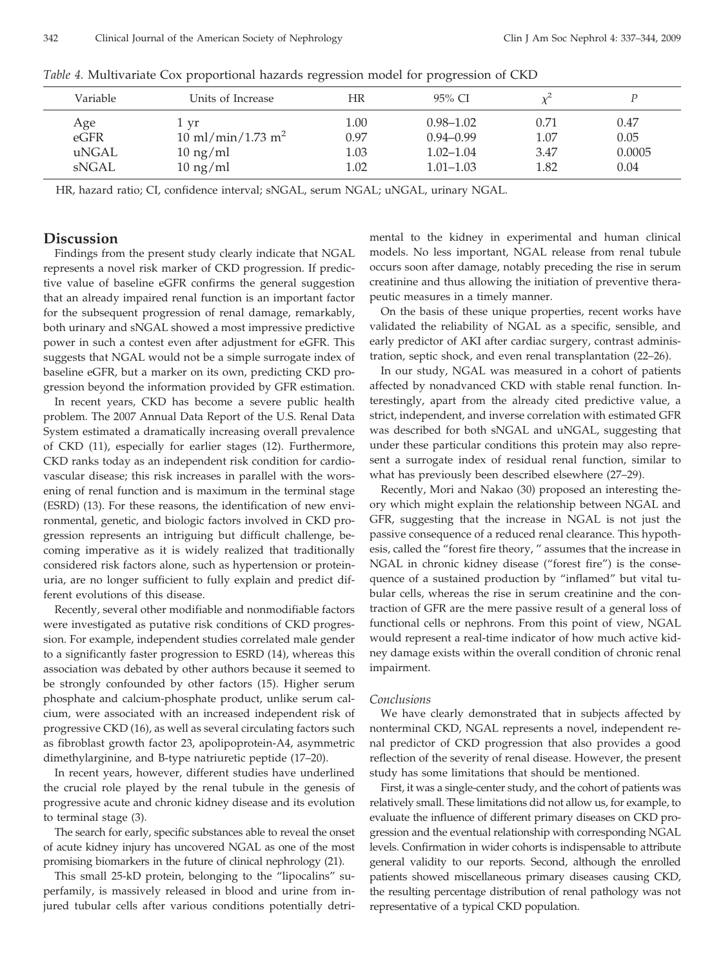| Variable | Units of Increase                    | HR   | 95% CI        |      |        |
|----------|--------------------------------------|------|---------------|------|--------|
|          |                                      |      |               |      |        |
| Age      | 1 yr                                 | 1.00 | $0.98 - 1.02$ | 0.71 | 0.47   |
| eGFR     | $10 \text{ ml/min}/1.73 \text{ m}^2$ | 0.97 | $0.94 - 0.99$ | 1.07 | 0.05   |
| uNGAL    | $10 \text{ ng/ml}$                   | 1.03 | $1.02 - 1.04$ | 3.47 | 0.0005 |
| sNGAL    | $10 \text{ ng/ml}$                   | 1.02 | $1.01 - 1.03$ | 1.82 | 0.04   |

*Table 4.* Multivariate Cox proportional hazards regression model for progression of CKD

HR, hazard ratio; CI, confidence interval; sNGAL, serum NGAL; uNGAL, urinary NGAL.

# **Discussion**

Findings from the present study clearly indicate that NGAL represents a novel risk marker of CKD progression. If predictive value of baseline eGFR confirms the general suggestion that an already impaired renal function is an important factor for the subsequent progression of renal damage, remarkably, both urinary and sNGAL showed a most impressive predictive power in such a contest even after adjustment for eGFR. This suggests that NGAL would not be a simple surrogate index of baseline eGFR, but a marker on its own, predicting CKD progression beyond the information provided by GFR estimation.

In recent years, CKD has become a severe public health problem. The 2007 Annual Data Report of the U.S. Renal Data System estimated a dramatically increasing overall prevalence of CKD (11), especially for earlier stages (12). Furthermore, CKD ranks today as an independent risk condition for cardiovascular disease; this risk increases in parallel with the worsening of renal function and is maximum in the terminal stage (ESRD) (13). For these reasons, the identification of new environmental, genetic, and biologic factors involved in CKD progression represents an intriguing but difficult challenge, becoming imperative as it is widely realized that traditionally considered risk factors alone, such as hypertension or proteinuria, are no longer sufficient to fully explain and predict different evolutions of this disease.

Recently, several other modifiable and nonmodifiable factors were investigated as putative risk conditions of CKD progression. For example, independent studies correlated male gender to a significantly faster progression to ESRD (14), whereas this association was debated by other authors because it seemed to be strongly confounded by other factors (15). Higher serum phosphate and calcium-phosphate product, unlike serum calcium, were associated with an increased independent risk of progressive CKD (16), as well as several circulating factors such as fibroblast growth factor 23, apolipoprotein-A4, asymmetric dimethylarginine, and B-type natriuretic peptide (17–20).

In recent years, however, different studies have underlined the crucial role played by the renal tubule in the genesis of progressive acute and chronic kidney disease and its evolution to terminal stage (3).

The search for early, specific substances able to reveal the onset of acute kidney injury has uncovered NGAL as one of the most promising biomarkers in the future of clinical nephrology (21).

This small 25-kD protein, belonging to the "lipocalins" superfamily, is massively released in blood and urine from injured tubular cells after various conditions potentially detrimental to the kidney in experimental and human clinical models. No less important, NGAL release from renal tubule occurs soon after damage, notably preceding the rise in serum creatinine and thus allowing the initiation of preventive therapeutic measures in a timely manner.

On the basis of these unique properties, recent works have validated the reliability of NGAL as a specific, sensible, and early predictor of AKI after cardiac surgery, contrast administration, septic shock, and even renal transplantation (22–26).

In our study, NGAL was measured in a cohort of patients affected by nonadvanced CKD with stable renal function. Interestingly, apart from the already cited predictive value, a strict, independent, and inverse correlation with estimated GFR was described for both sNGAL and uNGAL, suggesting that under these particular conditions this protein may also represent a surrogate index of residual renal function, similar to what has previously been described elsewhere (27–29).

Recently, Mori and Nakao (30) proposed an interesting theory which might explain the relationship between NGAL and GFR, suggesting that the increase in NGAL is not just the passive consequence of a reduced renal clearance. This hypothesis, called the "forest fire theory, " assumes that the increase in NGAL in chronic kidney disease ("forest fire") is the consequence of a sustained production by "inflamed" but vital tubular cells, whereas the rise in serum creatinine and the contraction of GFR are the mere passive result of a general loss of functional cells or nephrons. From this point of view, NGAL would represent a real-time indicator of how much active kidney damage exists within the overall condition of chronic renal impairment.

#### *Conclusions*

We have clearly demonstrated that in subjects affected by nonterminal CKD, NGAL represents a novel, independent renal predictor of CKD progression that also provides a good reflection of the severity of renal disease. However, the present study has some limitations that should be mentioned.

First, it was a single-center study, and the cohort of patients was relatively small. These limitations did not allow us, for example, to evaluate the influence of different primary diseases on CKD progression and the eventual relationship with corresponding NGAL levels. Confirmation in wider cohorts is indispensable to attribute general validity to our reports. Second, although the enrolled patients showed miscellaneous primary diseases causing CKD, the resulting percentage distribution of renal pathology was not representative of a typical CKD population.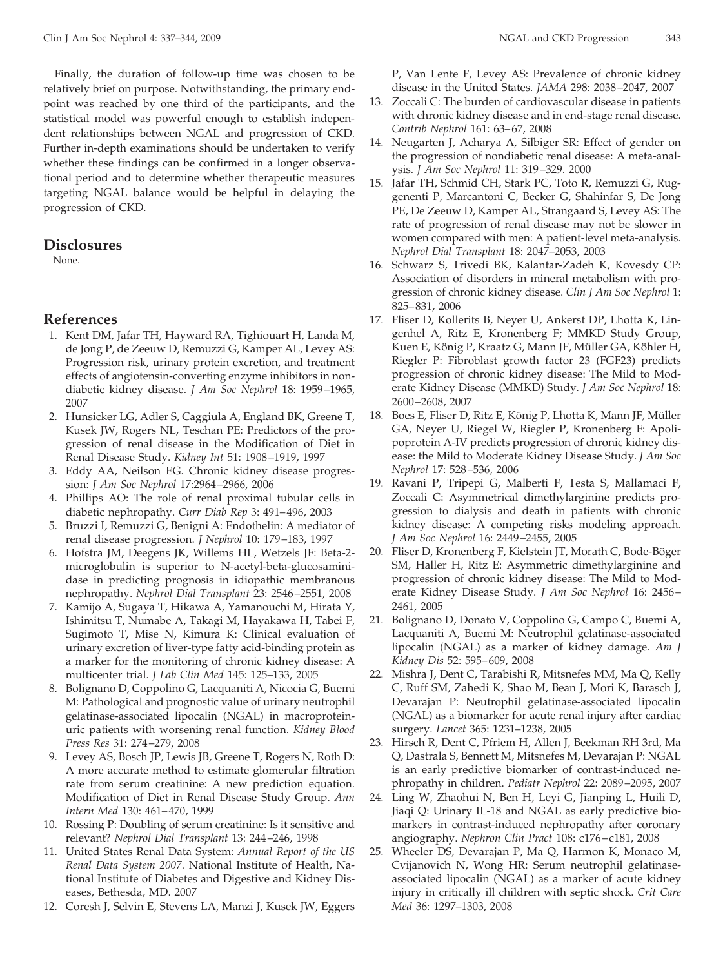Finally, the duration of follow-up time was chosen to be relatively brief on purpose. Notwithstanding, the primary endpoint was reached by one third of the participants, and the statistical model was powerful enough to establish independent relationships between NGAL and progression of CKD. Further in-depth examinations should be undertaken to verify whether these findings can be confirmed in a longer observational period and to determine whether therapeutic measures targeting NGAL balance would be helpful in delaying the progression of CKD.

## **Disclosures**

None.

# **References**

- 1. Kent DM, Jafar TH, Hayward RA, Tighiouart H, Landa M, de Jong P, de Zeeuw D, Remuzzi G, Kamper AL, Levey AS: Progression risk, urinary protein excretion, and treatment effects of angiotensin-converting enzyme inhibitors in nondiabetic kidney disease. *J Am Soc Nephrol* 18: 1959 –1965, 2007
- 2. Hunsicker LG, Adler S, Caggiula A, England BK, Greene T, Kusek JW, Rogers NL, Teschan PE: Predictors of the progression of renal disease in the Modification of Diet in Renal Disease Study. *Kidney Int* 51: 1908 –1919, 1997
- 3. Eddy AA, Neilson EG. Chronic kidney disease progression: *J Am Soc Nephrol* 17:2964 –2966, 2006
- 4. Phillips AO: The role of renal proximal tubular cells in diabetic nephropathy. *Curr Diab Rep* 3: 491– 496, 2003
- 5. Bruzzi I, Remuzzi G, Benigni A: Endothelin: A mediator of renal disease progression. *J Nephrol* 10: 179 –183, 1997
- 6. Hofstra JM, Deegens JK, Willems HL, Wetzels JF: Beta-2 microglobulin is superior to N-acetyl-beta-glucosaminidase in predicting prognosis in idiopathic membranous nephropathy. *Nephrol Dial Transplant* 23: 2546 –2551, 2008
- 7. Kamijo A, Sugaya T, Hikawa A, Yamanouchi M, Hirata Y, Ishimitsu T, Numabe A, Takagi M, Hayakawa H, Tabei F, Sugimoto T, Mise N, Kimura K: Clinical evaluation of urinary excretion of liver-type fatty acid-binding protein as a marker for the monitoring of chronic kidney disease: A multicenter trial. *J Lab Clin Med* 145: 125–133, 2005
- 8. Bolignano D, Coppolino G, Lacquaniti A, Nicocia G, Buemi M: Pathological and prognostic value of urinary neutrophil gelatinase-associated lipocalin (NGAL) in macroproteinuric patients with worsening renal function. *Kidney Blood Press Res* 31: 274 –279, 2008
- 9. Levey AS, Bosch JP, Lewis JB, Greene T, Rogers N, Roth D: A more accurate method to estimate glomerular filtration rate from serum creatinine: A new prediction equation. Modification of Diet in Renal Disease Study Group. *Ann Intern Med* 130: 461– 470, 1999
- 10. Rossing P: Doubling of serum creatinine: Is it sensitive and relevant? *Nephrol Dial Transplant* 13: 244 –246, 1998
- 11. United States Renal Data System: *Annual Report of the US Renal Data System 2007*. National Institute of Health, National Institute of Diabetes and Digestive and Kidney Diseases, Bethesda, MD. 2007
- 12. Coresh J, Selvin E, Stevens LA, Manzi J, Kusek JW, Eggers

P, Van Lente F, Levey AS: Prevalence of chronic kidney disease in the United States. *JAMA* 298: 2038 –2047, 2007

- 13. Zoccali C: The burden of cardiovascular disease in patients with chronic kidney disease and in end-stage renal disease. *Contrib Nephrol* 161: 63– 67, 2008
- 14. Neugarten J, Acharya A, Silbiger SR: Effect of gender on the progression of nondiabetic renal disease: A meta-analysis. *J Am Soc Nephrol* 11: 319 –329. 2000
- 15. Jafar TH, Schmid CH, Stark PC, Toto R, Remuzzi G, Ruggenenti P, Marcantoni C, Becker G, Shahinfar S, De Jong PE, De Zeeuw D, Kamper AL, Strangaard S, Levey AS: The rate of progression of renal disease may not be slower in women compared with men: A patient-level meta-analysis. *Nephrol Dial Transplant* 18: 2047–2053, 2003
- 16. Schwarz S, Trivedi BK, Kalantar-Zadeh K, Kovesdy CP: Association of disorders in mineral metabolism with progression of chronic kidney disease. *Clin J Am Soc Nephrol* 1: 825– 831, 2006
- 17. Fliser D, Kollerits B, Neyer U, Ankerst DP, Lhotta K, Lingenhel A, Ritz E, Kronenberg F; MMKD Study Group, Kuen E, König P, Kraatz G, Mann JF, Müller GA, Köhler H, Riegler P: Fibroblast growth factor 23 (FGF23) predicts progression of chronic kidney disease: The Mild to Moderate Kidney Disease (MMKD) Study. *J Am Soc Nephrol* 18: 2600 –2608, 2007
- 18. Boes E, Fliser D, Ritz E, König P, Lhotta K, Mann JF, Müller GA, Neyer U, Riegel W, Riegler P, Kronenberg F: Apolipoprotein A-IV predicts progression of chronic kidney disease: the Mild to Moderate Kidney Disease Study. *J Am Soc Nephrol* 17: 528 –536, 2006
- 19. Ravani P, Tripepi G, Malberti F, Testa S, Mallamaci F, Zoccali C: Asymmetrical dimethylarginine predicts progression to dialysis and death in patients with chronic kidney disease: A competing risks modeling approach. *J Am Soc Nephrol* 16: 2449 –2455, 2005
- 20. Fliser D, Kronenberg F, Kielstein JT, Morath C, Bode-Böger SM, Haller H, Ritz E: Asymmetric dimethylarginine and progression of chronic kidney disease: The Mild to Moderate Kidney Disease Study. *J Am Soc Nephrol* 16: 2456 – 2461, 2005
- 21. Bolignano D, Donato V, Coppolino G, Campo C, Buemi A, Lacquaniti A, Buemi M: Neutrophil gelatinase-associated lipocalin (NGAL) as a marker of kidney damage. *Am J Kidney Dis* 52: 595– 609, 2008
- 22. Mishra J, Dent C, Tarabishi R, Mitsnefes MM, Ma Q, Kelly C, Ruff SM, Zahedi K, Shao M, Bean J, Mori K, Barasch J, Devarajan P: Neutrophil gelatinase-associated lipocalin (NGAL) as a biomarker for acute renal injury after cardiac surgery. *Lancet* 365: 1231–1238, 2005
- 23. Hirsch R, Dent C, Pfriem H, Allen J, Beekman RH 3rd, Ma Q, Dastrala S, Bennett M, Mitsnefes M, Devarajan P: NGAL is an early predictive biomarker of contrast-induced nephropathy in children. *Pediatr Nephrol* 22: 2089 –2095, 2007
- 24. Ling W, Zhaohui N, Ben H, Leyi G, Jianping L, Huili D, Jiaqi Q: Urinary IL-18 and NGAL as early predictive biomarkers in contrast-induced nephropathy after coronary angiography. *Nephron Clin Pract* 108: c176 – c181, 2008
- 25. Wheeler DS, Devarajan P, Ma Q, Harmon K, Monaco M, Cvijanovich N, Wong HR: Serum neutrophil gelatinaseassociated lipocalin (NGAL) as a marker of acute kidney injury in critically ill children with septic shock. *Crit Care Med* 36: 1297–1303, 2008